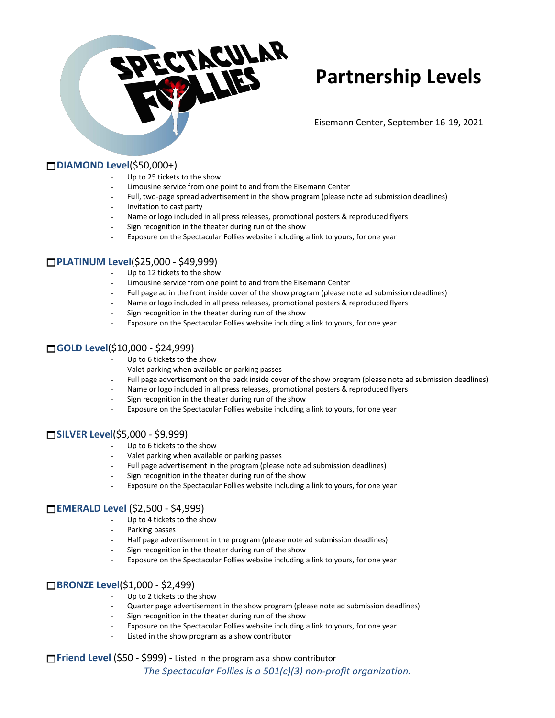

# **Partnership Levels**

Eisemann Center, September 16-19, 2021

#### **DIAMOND Level**(\$50,000+)

- Up to 25 tickets to the show
- Limousine service from one point to and from the Eisemann Center
- Full, two-page spread advertisement in the show program (please note ad submission deadlines)
- Invitation to cast party
- Name or logo included in all press releases, promotional posters & reproduced flyers
- Sign recognition in the theater during run of the show
- Exposure on the Spectacular Follies website including a link to yours, for one year

#### **PLATINUM Level**(\$25,000 - \$49,999)

- Up to 12 tickets to the show
- Limousine service from one point to and from the Eisemann Center
- Full page ad in the front inside cover of the show program (please note ad submission deadlines)
- Name or logo included in all press releases, promotional posters & reproduced flyers
- Sign recognition in the theater during run of the show
- Exposure on the Spectacular Follies website including a link to yours, for one year

## **GOLD Level**(\$10,000 - \$24,999)

- Up to 6 tickets to the show
- Valet parking when available or parking passes
- Full page advertisement on the back inside cover of the show program (please note ad submission deadlines)
- Name or logo included in all press releases, promotional posters & reproduced flyers
- Sign recognition in the theater during run of the show
- Exposure on the Spectacular Follies website including a link to yours, for one year

#### **SILVER Level**(\$5,000 - \$9,999)

- Up to 6 tickets to the show
- Valet parking when available or parking passes
- Full page advertisement in the program (please note ad submission deadlines)
- Sign recognition in the theater during run of the show
- Exposure on the Spectacular Follies website including a link to yours, for one year

#### **EMERALD Level** (\$2,500 - \$4,999)

- Up to 4 tickets to the show
- Parking passes
- Half page advertisement in the program (please note ad submission deadlines)
- Sign recognition in the theater during run of the show
- Exposure on the Spectacular Follies website including a link to yours, for one year

#### **BRONZE Level**(\$1,000 - \$2,499)

- Up to 2 tickets to the show
- Quarter page advertisement in the show program (please note ad submission deadlines)
- Sign recognition in the theater during run of the show
- Exposure on the Spectacular Follies website including a link to yours, for one year
- Listed in the show program as a show contributor

## **□Friend Level (\$50 - \$999) - Listed in the program as a show contributor** *The Spectacular Follies is a 501(c)(3) non-profit organization.*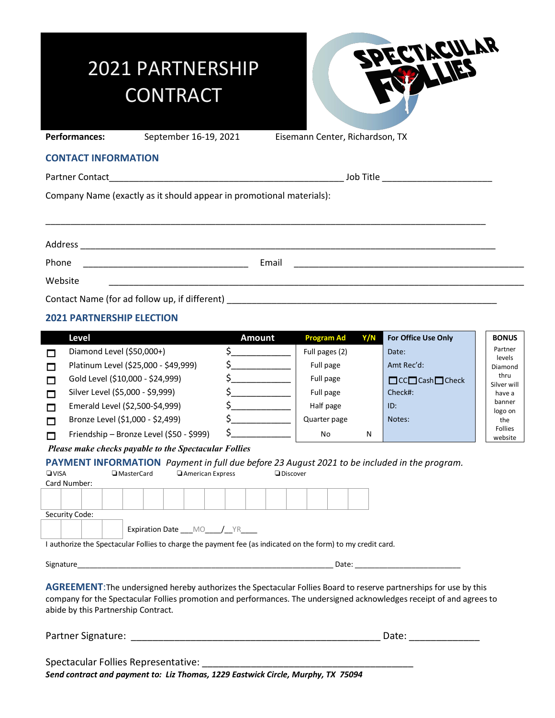# 2021 PARTNERSHIP **CONTRACT**



Performances: September 16-19, 2021 Eisemann Center, Richardson, TX

#### **CONTACT INFORMATION**

Partner Contact\_\_\_\_\_\_\_\_\_\_\_\_\_\_\_\_\_\_\_\_\_\_\_\_\_\_\_\_\_\_\_\_\_\_\_\_\_\_\_\_\_\_\_\_\_\_\_ Job Title \_\_\_\_\_\_\_\_\_\_\_\_\_\_\_\_\_\_\_\_\_\_

Company Name (exactly as it should appear in promotional materials):

| Address                                                                                                                       |       |                                                                                                                                                                                                                               |
|-------------------------------------------------------------------------------------------------------------------------------|-------|-------------------------------------------------------------------------------------------------------------------------------------------------------------------------------------------------------------------------------|
| Phone<br><u> 1980 - Jan Jan Jawa Barat, president de la provincia de la provincia de la provincia de la provincia de la p</u> | Email | the control of the control of the control of the control of the control of the control of the control of the control of the control of the control of the control of the control of the control of the control of the control |
| Website                                                                                                                       |       |                                                                                                                                                                                                                               |
|                                                                                                                               |       |                                                                                                                                                                                                                               |

## **2021 PARTNERSHIP ELECTION**

|                                                                                                                                                                                                                                                                                                                                                                                                                                                                                                                             | <b>Level</b>                             | <b>Amount</b>                                                                                                                                                                                                                                                                                                                                       | <b>Program Ad</b><br>Y/N | For Office Use Only                | <b>BONUS</b>              |  |  |
|-----------------------------------------------------------------------------------------------------------------------------------------------------------------------------------------------------------------------------------------------------------------------------------------------------------------------------------------------------------------------------------------------------------------------------------------------------------------------------------------------------------------------------|------------------------------------------|-----------------------------------------------------------------------------------------------------------------------------------------------------------------------------------------------------------------------------------------------------------------------------------------------------------------------------------------------------|--------------------------|------------------------------------|---------------------------|--|--|
| П                                                                                                                                                                                                                                                                                                                                                                                                                                                                                                                           | Diamond Level (\$50,000+)                | $\zeta$                                                                                                                                                                                                                                                                                                                                             | Full pages (2)           | Date:                              | Partner<br>levels         |  |  |
| ⊓                                                                                                                                                                                                                                                                                                                                                                                                                                                                                                                           | Platinum Level (\$25,000 - \$49,999)     |                                                                                                                                                                                                                                                                                                                                                     | Full page                | Amt Rec'd:                         | Diamond                   |  |  |
| М                                                                                                                                                                                                                                                                                                                                                                                                                                                                                                                           | Gold Level (\$10,000 - \$24,999)         | $\zeta$                                                                                                                                                                                                                                                                                                                                             | Full page                | $\Box$ CC $\Box$ Cash $\Box$ Check | thru<br>Silver will       |  |  |
| $\Box$                                                                                                                                                                                                                                                                                                                                                                                                                                                                                                                      | Silver Level (\$5,000 - \$9,999)         |                                                                                                                                                                                                                                                                                                                                                     | Full page                | Check#:                            | have a                    |  |  |
| П                                                                                                                                                                                                                                                                                                                                                                                                                                                                                                                           | Emerald Level (\$2,500-\$4,999)          | $\zeta$                                                                                                                                                                                                                                                                                                                                             | Half page                | ID:                                | banner<br>logo on         |  |  |
| $\Box$                                                                                                                                                                                                                                                                                                                                                                                                                                                                                                                      | Bronze Level (\$1,000 - \$2,499)         | $\begin{picture}(20,20) \put(0,0){\line(1,0){10}} \put(15,0){\line(1,0){10}} \put(15,0){\line(1,0){10}} \put(15,0){\line(1,0){10}} \put(15,0){\line(1,0){10}} \put(15,0){\line(1,0){10}} \put(15,0){\line(1,0){10}} \put(15,0){\line(1,0){10}} \put(15,0){\line(1,0){10}} \put(15,0){\line(1,0){10}} \put(15,0){\line(1,0){10}} \put(15,0){\line(1$ | Quarter page             | Notes:                             | the                       |  |  |
| $\Box$                                                                                                                                                                                                                                                                                                                                                                                                                                                                                                                      | Friendship - Bronze Level (\$50 - \$999) |                                                                                                                                                                                                                                                                                                                                                     | No.<br>N                 |                                    | <b>Follies</b><br>website |  |  |
| Please make checks payable to the Spectacular Follies                                                                                                                                                                                                                                                                                                                                                                                                                                                                       |                                          |                                                                                                                                                                                                                                                                                                                                                     |                          |                                    |                           |  |  |
| PAYMENT INFORMATION Payment in full due before 23 August 2021 to be included in the program.<br>$\n  UVISA\n$<br><b>I</b> MasterCard<br>American Express<br><b>Discover</b><br>Card Number:<br>Security Code:<br>Expiration Date ___ MO____/__YR_____<br>I authorize the Spectacular Follies to charge the payment fee (as indicated on the form) to my credit card.                                                                                                                                                        |                                          |                                                                                                                                                                                                                                                                                                                                                     |                          |                                    |                           |  |  |
| <b>AGREEMENT:</b> The undersigned hereby authorizes the Spectacular Follies Board to reserve partnerships for use by this<br>company for the Spectacular Follies promotion and performances. The undersigned acknowledges receipt of and agrees to<br>abide by this Partnership Contract.<br>Date: the contract of the contract of the contract of the contract of the contract of the contract of the contract of the contract of the contract of the contract of the contract of the contract of the contract of the cont |                                          |                                                                                                                                                                                                                                                                                                                                                     |                          |                                    |                           |  |  |
| Spectacular Follies Representative:                                                                                                                                                                                                                                                                                                                                                                                                                                                                                         |                                          |                                                                                                                                                                                                                                                                                                                                                     |                          |                                    |                           |  |  |

*Send contract and payment to: Liz Thomas, 1229 Eastwick Circle, Murphy, TX 75094*